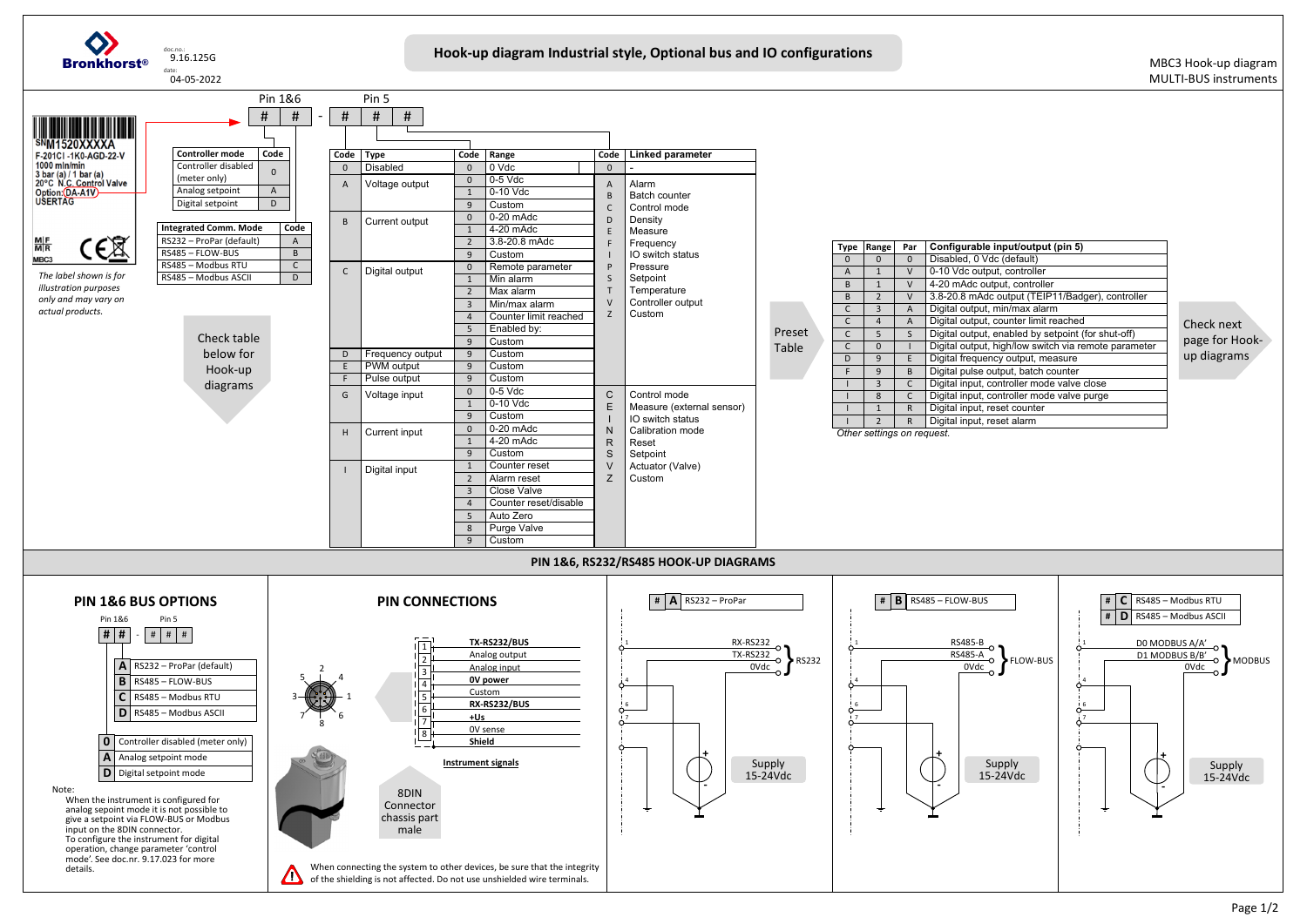

| input/output (pin 5)                 |
|--------------------------------------|
| dc (default)                         |
| out, controller                      |
| itput, controller                    |
| c output (TEIP11/Badger), controller |
| min/max alarm                        |
| counter limit reached                |
| enabled by setpoint (for shut-off)   |
| high/low switch via remote parameter |
| ncy output, measure                  |
| output, batch counter                |
| controller mode valve close          |
| controller mode valve purge          |
| eset counter                         |
| eset alarm <sup>.</sup>              |
|                                      |